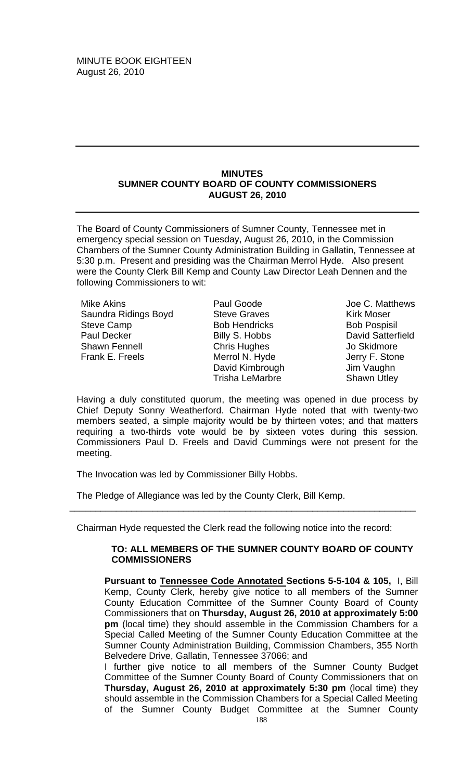#### **MINUTES SUMNER COUNTY BOARD OF COUNTY COMMISSIONERS AUGUST 26, 2010**

The Board of County Commissioners of Sumner County, Tennessee met in emergency special session on Tuesday, August 26, 2010, in the Commission Chambers of the Sumner County Administration Building in Gallatin, Tennessee at 5:30 p.m. Present and presiding was the Chairman Merrol Hyde. Also present were the County Clerk Bill Kemp and County Law Director Leah Dennen and the following Commissioners to wit:

Mike Akins Saundra Ridings Boyd Steve Camp Paul Decker Shawn Fennell Frank E. Freels

Paul Goode Steve Graves Bob Hendricks Billy S. Hobbs Chris Hughes Merrol N. Hyde David Kimbrough Trisha LeMarbre

Joe C. Matthews Kirk Moser Bob Pospisil David Satterfield Jo Skidmore Jerry F. Stone Jim Vaughn Shawn Utley

Having a duly constituted quorum, the meeting was opened in due process by Chief Deputy Sonny Weatherford. Chairman Hyde noted that with twenty-two members seated, a simple majority would be by thirteen votes; and that matters requiring a two-thirds vote would be by sixteen votes during this session. Commissioners Paul D. Freels and David Cummings were not present for the meeting.

The Invocation was led by Commissioner Billy Hobbs.

The Pledge of Allegiance was led by the County Clerk, Bill Kemp.

Chairman Hyde requested the Clerk read the following notice into the record:

\_\_\_\_\_\_\_\_\_\_\_\_\_\_\_\_\_\_\_\_\_\_\_\_\_\_\_\_\_\_\_\_\_\_\_\_\_\_\_\_\_\_\_\_\_\_\_\_\_\_\_\_\_\_\_\_\_\_\_\_\_\_\_\_\_\_\_

## **TO: ALL MEMBERS OF THE SUMNER COUNTY BOARD OF COUNTY COMMISSIONERS**

**Pursuant to Tennessee Code Annotated Sections 5-5-104 & 105,** I, Bill Kemp, County Clerk, hereby give notice to all members of the Sumner County Education Committee of the Sumner County Board of County Commissioners that on **Thursday, August 26, 2010 at approximately 5:00 pm** (local time) they should assemble in the Commission Chambers for a Special Called Meeting of the Sumner County Education Committee at the Sumner County Administration Building, Commission Chambers, 355 North Belvedere Drive, Gallatin, Tennessee 37066; and

I further give notice to all members of the Sumner County Budget Committee of the Sumner County Board of County Commissioners that on **Thursday, August 26, 2010 at approximately 5:30 pm** (local time) they should assemble in the Commission Chambers for a Special Called Meeting of the Sumner County Budget Committee at the Sumner County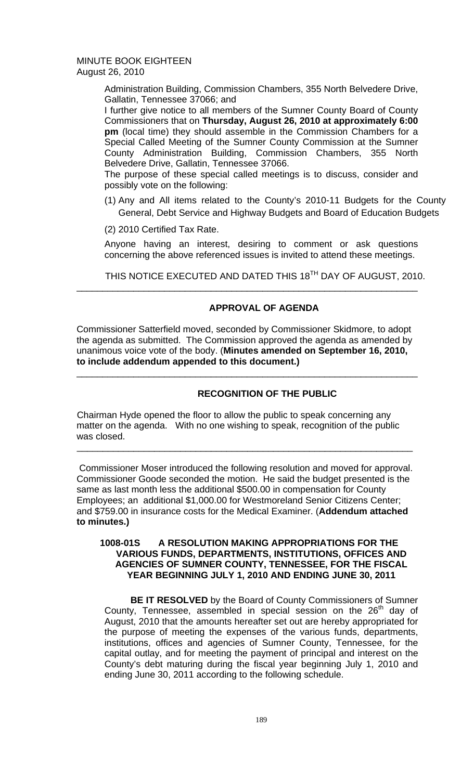> Administration Building, Commission Chambers, 355 North Belvedere Drive, Gallatin, Tennessee 37066; and

> I further give notice to all members of the Sumner County Board of County Commissioners that on **Thursday, August 26, 2010 at approximately 6:00 pm** (local time) they should assemble in the Commission Chambers for a Special Called Meeting of the Sumner County Commission at the Sumner County Administration Building, Commission Chambers, 355 North Belvedere Drive, Gallatin, Tennessee 37066.

> The purpose of these special called meetings is to discuss, consider and possibly vote on the following:

- (1) Any and All items related to the County's 2010-11 Budgets for the County General, Debt Service and Highway Budgets and Board of Education Budgets
- (2) 2010 Certified Tax Rate.

Anyone having an interest, desiring to comment or ask questions concerning the above referenced issues is invited to attend these meetings.

THIS NOTICE EXECUTED AND DATED THIS 18<sup>TH</sup> DAY OF AUGUST, 2010.

# **APPROVAL OF AGENDA**

Commissioner Satterfield moved, seconded by Commissioner Skidmore, to adopt the agenda as submitted. The Commission approved the agenda as amended by unanimous voice vote of the body. (**Minutes amended on September 16, 2010, to include addendum appended to this document.)** 

\_\_\_\_\_\_\_\_\_\_\_\_\_\_\_\_\_\_\_\_\_\_\_\_\_\_\_\_\_\_\_\_\_\_\_\_\_\_\_\_\_\_\_\_\_\_\_\_\_\_\_\_\_\_\_\_\_\_\_\_\_\_\_\_\_\_

\_\_\_\_\_\_\_\_\_\_\_\_\_\_\_\_\_\_\_\_\_\_\_\_\_\_\_\_\_\_\_\_\_\_\_\_\_\_\_\_\_\_\_\_\_\_\_\_\_\_\_\_\_\_\_\_\_\_\_\_\_\_\_\_\_\_

# **RECOGNITION OF THE PUBLIC**

Chairman Hyde opened the floor to allow the public to speak concerning any matter on the agenda. With no one wishing to speak, recognition of the public was closed.

Commissioner Moser introduced the following resolution and moved for approval. Commissioner Goode seconded the motion. He said the budget presented is the same as last month less the additional \$500.00 in compensation for County Employees; an additional \$1,000.00 for Westmoreland Senior Citizens Center; and \$759.00 in insurance costs for the Medical Examiner. (**Addendum attached to minutes.)** 

\_\_\_\_\_\_\_\_\_\_\_\_\_\_\_\_\_\_\_\_\_\_\_\_\_\_\_\_\_\_\_\_\_\_\_\_\_\_\_\_\_\_\_\_\_\_\_\_\_\_\_\_\_\_\_\_\_\_\_\_\_\_\_\_\_

# **1008-01S A RESOLUTION MAKING APPROPRIATIONS FOR THE VARIOUS FUNDS, DEPARTMENTS, INSTITUTIONS, OFFICES AND AGENCIES OF SUMNER COUNTY, TENNESSEE, FOR THE FISCAL YEAR BEGINNING JULY 1, 2010 AND ENDING JUNE 30, 2011**

 **BE IT RESOLVED** by the Board of County Commissioners of Sumner County, Tennessee, assembled in special session on the 26<sup>th</sup> day of August, 2010 that the amounts hereafter set out are hereby appropriated for the purpose of meeting the expenses of the various funds, departments, institutions, offices and agencies of Sumner County, Tennessee, for the capital outlay, and for meeting the payment of principal and interest on the County's debt maturing during the fiscal year beginning July 1, 2010 and ending June 30, 2011 according to the following schedule.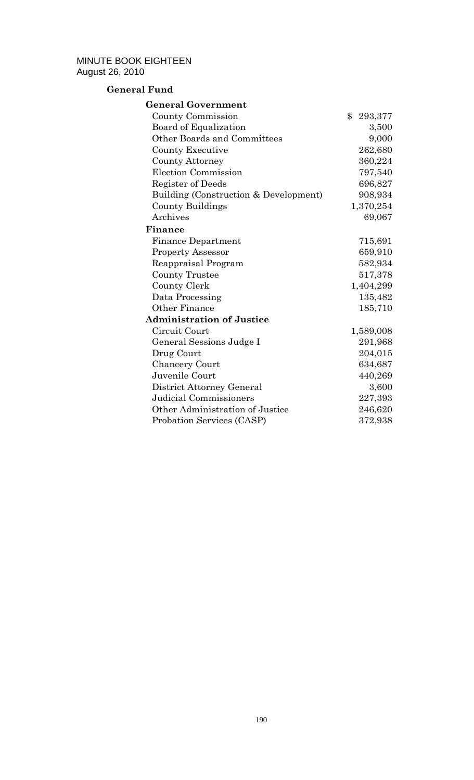# **General Fund**

| <b>General Government</b>             |               |
|---------------------------------------|---------------|
| County Commission                     | \$<br>293,377 |
| Board of Equalization                 | 3,500         |
| Other Boards and Committees           | 9,000         |
| <b>County Executive</b>               | 262,680       |
| <b>County Attorney</b>                | 360,224       |
| Election Commission                   | 797,540       |
| Register of Deeds                     | 696,827       |
| Building (Construction & Development) | 908,934       |
| <b>County Buildings</b>               | 1,370,254     |
| Archives                              | 69,067        |
| Finance                               |               |
| <b>Finance Department</b>             | 715,691       |
| <b>Property Assessor</b>              | 659,910       |
| Reappraisal Program                   | 582,934       |
| <b>County Trustee</b>                 | 517,378       |
| County Clerk                          | 1,404,299     |
| Data Processing                       | 135,482       |
| Other Finance                         | 185,710       |
| <b>Administration of Justice</b>      |               |
| Circuit Court                         | 1,589,008     |
| General Sessions Judge I              | 291,968       |
| Drug Court                            | 204,015       |
| Chancery Court                        | 634,687       |
| Juvenile Court                        | 440,269       |
| District Attorney General             | 3,600         |
| Judicial Commissioners                | 227,393       |
| Other Administration of Justice       | 246,620       |
| Probation Services (CASP)             | 372,938       |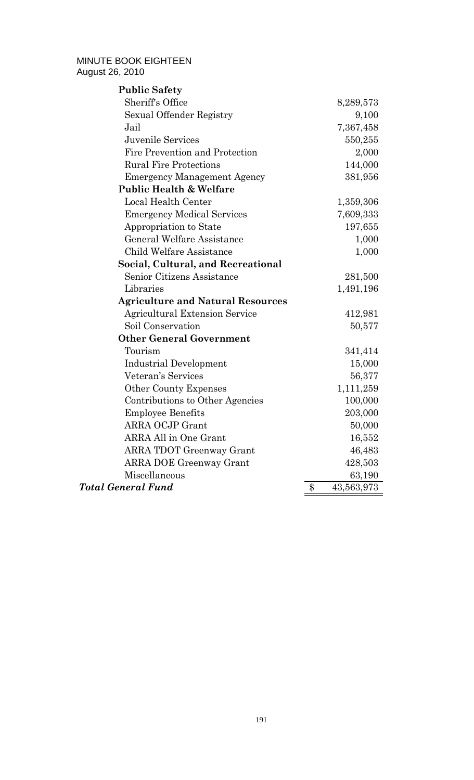| <b>Public Safety</b>                     |                  |
|------------------------------------------|------------------|
| Sheriff's Office                         | 8,289,573        |
| Sexual Offender Registry                 | 9,100            |
| Jail                                     | 7,367,458        |
| Juvenile Services                        | 550,255          |
| Fire Prevention and Protection           | 2,000            |
| <b>Rural Fire Protections</b>            | 144,000          |
| <b>Emergency Management Agency</b>       | 381,956          |
| <b>Public Health &amp; Welfare</b>       |                  |
| Local Health Center                      | 1,359,306        |
| <b>Emergency Medical Services</b>        | 7,609,333        |
| Appropriation to State                   | 197,655          |
| <b>General Welfare Assistance</b>        | 1,000            |
| <b>Child Welfare Assistance</b>          | 1,000            |
| Social, Cultural, and Recreational       |                  |
| Senior Citizens Assistance               | 281,500          |
| Libraries                                | 1,491,196        |
| <b>Agriculture and Natural Resources</b> |                  |
| <b>Agricultural Extension Service</b>    | 412,981          |
| Soil Conservation                        | 50,577           |
| <b>Other General Government</b>          |                  |
| Tourism                                  | 341,414          |
| <b>Industrial Development</b>            | 15,000           |
| Veteran's Services                       | 56,377           |
| <b>Other County Expenses</b>             | 1,111,259        |
| Contributions to Other Agencies          | 100,000          |
| <b>Employee Benefits</b>                 | 203,000          |
| <b>ARRA OCJP Grant</b>                   | 50,000           |
| <b>ARRA All in One Grant</b>             | 16,552           |
| <b>ARRA TDOT Greenway Grant</b>          | 46,483           |
| <b>ARRA DOE Greenway Grant</b>           | 428,503          |
| Miscellaneous                            | 63,190           |
| <b>Total General Fund</b>                | 43,563,973<br>\$ |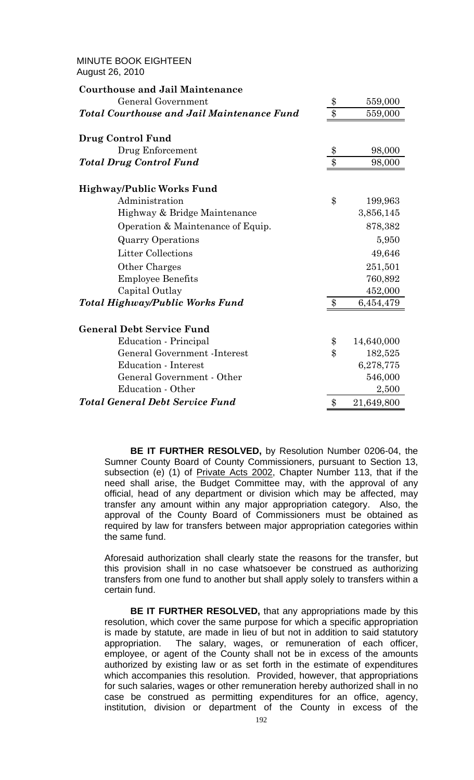| <b>MINUTE BOOK EIGHTEEN</b><br>August 26, 2010    |                  |            |
|---------------------------------------------------|------------------|------------|
| <b>Courthouse and Jail Maintenance</b>            |                  |            |
| <b>General Government</b>                         | \$               | 559,000    |
| <b>Total Courthouse and Jail Maintenance Fund</b> | $\overline{\$\}$ | 559,000    |
| Drug Control Fund                                 |                  |            |
| Drug Enforcement                                  | \$               | 98,000     |
| <b>Total Drug Control Fund</b>                    | \$               | 98,000     |
| <b>Highway/Public Works Fund</b>                  |                  |            |
| Administration                                    | \$               | 199,963    |
| Highway & Bridge Maintenance                      |                  | 3,856,145  |
| Operation & Maintenance of Equip.                 |                  | 878,382    |
| <b>Quarry Operations</b>                          |                  | 5,950      |
| <b>Litter Collections</b>                         |                  | 49,646     |
| Other Charges                                     |                  | 251,501    |
| <b>Employee Benefits</b>                          |                  | 760,892    |
| Capital Outlay                                    |                  | 452,000    |
| <b>Total Highway/Public Works Fund</b>            | \$               | 6,454,479  |
| <b>General Debt Service Fund</b>                  |                  |            |
| Education - Principal                             | \$               | 14,640,000 |
| <b>General Government -Interest</b>               | $\mathbf{\$\}$   | 182,525    |
| <b>Education - Interest</b>                       |                  | 6,278,775  |
| General Government - Other                        |                  | 546,000    |
| Education - Other                                 |                  | 2,500      |
| <b>Total General Debt Service Fund</b>            | \$               | 21,649,800 |

 **BE IT FURTHER RESOLVED,** by Resolution Number 0206-04, the Sumner County Board of County Commissioners, pursuant to Section 13, subsection (e) (1) of Private Acts 2002, Chapter Number 113, that if the need shall arise, the Budget Committee may, with the approval of any official, head of any department or division which may be affected, may transfer any amount within any major appropriation category. Also, the approval of the County Board of Commissioners must be obtained as required by law for transfers between major appropriation categories within the same fund.

Aforesaid authorization shall clearly state the reasons for the transfer, but this provision shall in no case whatsoever be construed as authorizing transfers from one fund to another but shall apply solely to transfers within a certain fund.

 **BE IT FURTHER RESOLVED,** that any appropriations made by this resolution, which cover the same purpose for which a specific appropriation is made by statute, are made in lieu of but not in addition to said statutory appropriation. The salary, wages, or remuneration of each officer, employee, or agent of the County shall not be in excess of the amounts authorized by existing law or as set forth in the estimate of expenditures which accompanies this resolution. Provided, however, that appropriations for such salaries, wages or other remuneration hereby authorized shall in no case be construed as permitting expenditures for an office, agency, institution, division or department of the County in excess of the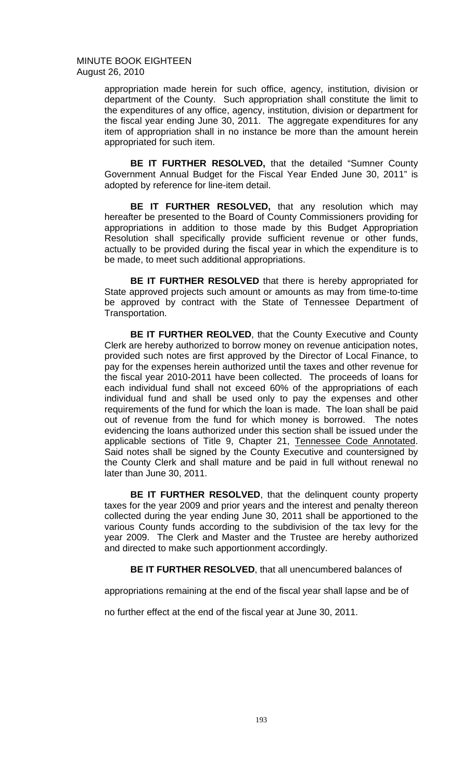> appropriation made herein for such office, agency, institution, division or department of the County. Such appropriation shall constitute the limit to the expenditures of any office, agency, institution, division or department for the fiscal year ending June 30, 2011. The aggregate expenditures for any item of appropriation shall in no instance be more than the amount herein appropriated for such item.

> **BE IT FURTHER RESOLVED,** that the detailed "Sumner County Government Annual Budget for the Fiscal Year Ended June 30, 2011" is adopted by reference for line-item detail.

> **BE IT FURTHER RESOLVED,** that any resolution which may hereafter be presented to the Board of County Commissioners providing for appropriations in addition to those made by this Budget Appropriation Resolution shall specifically provide sufficient revenue or other funds, actually to be provided during the fiscal year in which the expenditure is to be made, to meet such additional appropriations.

> **BE IT FURTHER RESOLVED** that there is hereby appropriated for State approved projects such amount or amounts as may from time-to-time be approved by contract with the State of Tennessee Department of Transportation.

> **BE IT FURTHER REOLVED, that the County Executive and County** Clerk are hereby authorized to borrow money on revenue anticipation notes, provided such notes are first approved by the Director of Local Finance, to pay for the expenses herein authorized until the taxes and other revenue for the fiscal year 2010-2011 have been collected. The proceeds of loans for each individual fund shall not exceed 60% of the appropriations of each individual fund and shall be used only to pay the expenses and other requirements of the fund for which the loan is made. The loan shall be paid out of revenue from the fund for which money is borrowed. The notes evidencing the loans authorized under this section shall be issued under the applicable sections of Title 9, Chapter 21, Tennessee Code Annotated. Said notes shall be signed by the County Executive and countersigned by the County Clerk and shall mature and be paid in full without renewal no later than June 30, 2011.

> **BE IT FURTHER RESOLVED**, that the delinquent county property taxes for the year 2009 and prior years and the interest and penalty thereon collected during the year ending June 30, 2011 shall be apportioned to the various County funds according to the subdivision of the tax levy for the year 2009. The Clerk and Master and the Trustee are hereby authorized and directed to make such apportionment accordingly.

 **BE IT FURTHER RESOLVED**, that all unencumbered balances of

appropriations remaining at the end of the fiscal year shall lapse and be of

no further effect at the end of the fiscal year at June 30, 2011.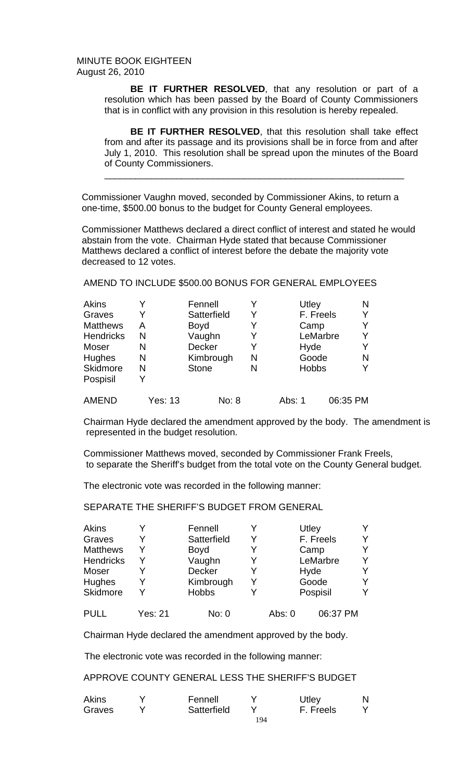> **BE IT FURTHER RESOLVED**, that any resolution or part of a resolution which has been passed by the Board of County Commissioners that is in conflict with any provision in this resolution is hereby repealed.

> **BE IT FURTHER RESOLVED**, that this resolution shall take effect from and after its passage and its provisions shall be in force from and after July 1, 2010. This resolution shall be spread upon the minutes of the Board of County Commissioners.

\_\_\_\_\_\_\_\_\_\_\_\_\_\_\_\_\_\_\_\_\_\_\_\_\_\_\_\_\_\_\_\_\_\_\_\_\_\_\_\_\_\_\_\_\_\_\_\_\_\_\_\_\_\_\_\_\_\_

Commissioner Vaughn moved, seconded by Commissioner Akins, to return a one-time, \$500.00 bonus to the budget for County General employees.

 Commissioner Matthews declared a direct conflict of interest and stated he would abstain from the vote. Chairman Hyde stated that because Commissioner Matthews declared a conflict of interest before the debate the majority vote decreased to 12 votes.

AMEND TO INCLUDE \$500.00 BONUS FOR GENERAL EMPLOYEES

| <b>Akins</b>     |         | Fennell       | Y | Utley        |          | N |
|------------------|---------|---------------|---|--------------|----------|---|
| Graves           |         | Satterfield   | Y | F. Freels    |          |   |
| <b>Matthews</b>  | A       | <b>Boyd</b>   | Y | Camp         |          |   |
| <b>Hendricks</b> | N       | Vaughn        | Y |              | LeMarbre |   |
| Moser            | N       | <b>Decker</b> | Y | Hyde         |          |   |
| <b>Hughes</b>    | N       | Kimbrough     | N | Goode        |          | N |
| Skidmore         | N       | <b>Stone</b>  | N | <b>Hobbs</b> |          |   |
| Pospisil         | v       |               |   |              |          |   |
| <b>AMEND</b>     | Yes: 13 | No: 8         |   | Abs: 1       | 06:35 PM |   |

Chairman Hyde declared the amendment approved by the body. The amendment is represented in the budget resolution.

Commissioner Matthews moved, seconded by Commissioner Frank Freels, to separate the Sheriff's budget from the total vote on the County General budget.

The electronic vote was recorded in the following manner:

SEPARATE THE SHERIFF'S BUDGET FROM GENERAL

| <b>Akins</b>    |         | Fennell      |   |          | Utley     |   |
|-----------------|---------|--------------|---|----------|-----------|---|
| Graves          |         | Satterfield  | Y |          | F. Freels | v |
| <b>Matthews</b> | v       | <b>Boyd</b>  | Y | Camp     |           | v |
| Hendricks       |         | Vaughn       | Y | LeMarbre |           | v |
| Moser           |         | Decker       | Y |          | Hyde      |   |
| <b>Hughes</b>   |         | Kimbrough    | Y | Goode    |           |   |
| Skidmore        |         | <b>Hobbs</b> | Y | Pospisil |           |   |
| <b>PULL</b>     | Yes: 21 | No: 0        |   | Abs: $0$ | 06:37 PM  |   |

Chairman Hyde declared the amendment approved by the body.

The electronic vote was recorded in the following manner:

APPROVE COUNTY GENERAL LESS THE SHERIFF'S BUDGET

| <b>Akins</b> | Fennell     |     | Utley     |  |
|--------------|-------------|-----|-----------|--|
| Graves       | Satterfield |     | F. Freels |  |
|              |             | '94 |           |  |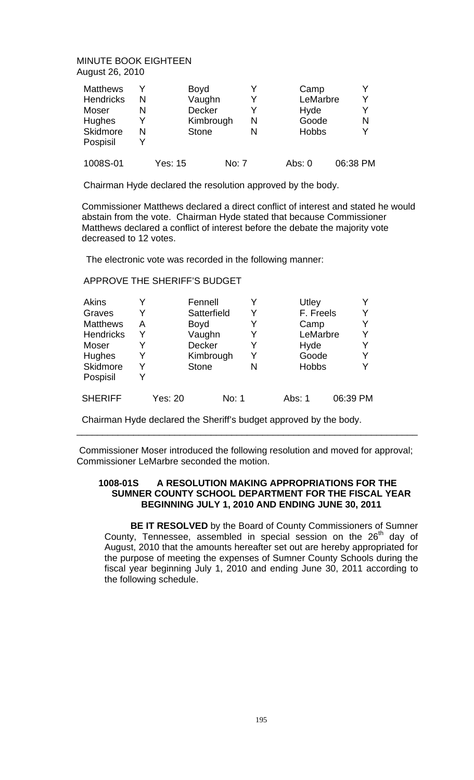| <b>Matthews</b><br><b>Hendricks</b><br>Moser<br><b>Hughes</b><br><b>Skidmore</b><br>Pospisil | v<br>N<br>N<br>N | <b>Boyd</b><br>Vaughn<br>Decker<br>Kimbrough<br><b>Stone</b> |       | v<br>N<br>N |          | Camp<br>LeMarbre<br>Hyde<br>Goode<br><b>Hobbs</b> | Y<br>Y<br>N<br>Y |
|----------------------------------------------------------------------------------------------|------------------|--------------------------------------------------------------|-------|-------------|----------|---------------------------------------------------|------------------|
| 1008S-01                                                                                     |                  | Yes: 15                                                      | No: 7 |             | Abs: $0$ |                                                   | 06:38 PM         |

Chairman Hyde declared the resolution approved by the body.

 Commissioner Matthews declared a direct conflict of interest and stated he would abstain from the vote. Chairman Hyde stated that because Commissioner Matthews declared a conflict of interest before the debate the majority vote decreased to 12 votes.

The electronic vote was recorded in the following manner:

## APPROVE THE SHERIFF'S BUDGET

| <b>Akins</b>     |   |         | Fennell       |   | Utley        |          |
|------------------|---|---------|---------------|---|--------------|----------|
| Graves           | Y |         | Satterfield   | Y | F. Freels    | Y        |
| <b>Matthews</b>  | А |         | <b>Boyd</b>   | Y | Camp         | Y        |
| <b>Hendricks</b> | Y |         | Vaughn        | Y | LeMarbre     | Y        |
| Moser            | Y |         | <b>Decker</b> | Y | Hyde         | Y        |
| <b>Hughes</b>    | Y |         | Kimbrough     | Y | Goode        | Y        |
| Skidmore         | Y |         | <b>Stone</b>  | N | <b>Hobbs</b> | Y        |
| Pospisil         | Y |         |               |   |              |          |
| <b>SHERIFF</b>   |   | Yes: 20 | No: 1         |   | Abs: 1       | 06:39 PM |

Chairman Hyde declared the Sheriff's budget approved by the body.

 Commissioner Moser introduced the following resolution and moved for approval; Commissioner LeMarbre seconded the motion.

\_\_\_\_\_\_\_\_\_\_\_\_\_\_\_\_\_\_\_\_\_\_\_\_\_\_\_\_\_\_\_\_\_\_\_\_\_\_\_\_\_\_\_\_\_\_\_\_\_\_\_\_\_\_\_\_\_\_\_\_\_\_\_\_\_\_

## **1008-01S A RESOLUTION MAKING APPROPRIATIONS FOR THE SUMNER COUNTY SCHOOL DEPARTMENT FOR THE FISCAL YEAR BEGINNING JULY 1, 2010 AND ENDING JUNE 30, 2011**

 **BE IT RESOLVED** by the Board of County Commissioners of Sumner County, Tennessee, assembled in special session on the 26<sup>th</sup> day of August, 2010 that the amounts hereafter set out are hereby appropriated for the purpose of meeting the expenses of Sumner County Schools during the fiscal year beginning July 1, 2010 and ending June 30, 2011 according to the following schedule.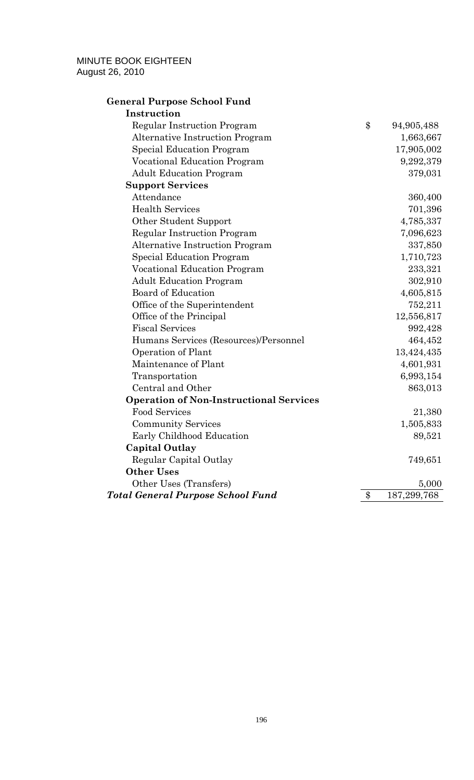# **General Purpose School Fund**

| Instruction                                    |                   |
|------------------------------------------------|-------------------|
| Regular Instruction Program                    | \$<br>94,905,488  |
| <b>Alternative Instruction Program</b>         | 1,663,667         |
| <b>Special Education Program</b>               | 17,905,002        |
| <b>Vocational Education Program</b>            | 9,292,379         |
| <b>Adult Education Program</b>                 | 379,031           |
| <b>Support Services</b>                        |                   |
| Attendance                                     | 360,400           |
| <b>Health Services</b>                         | 701,396           |
| Other Student Support                          | 4,785,337         |
| <b>Regular Instruction Program</b>             | 7,096,623         |
| <b>Alternative Instruction Program</b>         | 337,850           |
| <b>Special Education Program</b>               | 1,710,723         |
| <b>Vocational Education Program</b>            | 233,321           |
| <b>Adult Education Program</b>                 | 302,910           |
| <b>Board of Education</b>                      | 4,605,815         |
| Office of the Superintendent                   | 752,211           |
| Office of the Principal                        | 12,556,817        |
| <b>Fiscal Services</b>                         | 992,428           |
| Humans Services (Resources)/Personnel          | 464,452           |
| Operation of Plant                             | 13,424,435        |
| Maintenance of Plant                           | 4,601,931         |
| Transportation                                 | 6,993,154         |
| Central and Other                              | 863,013           |
| <b>Operation of Non-Instructional Services</b> |                   |
| <b>Food Services</b>                           | 21,380            |
| <b>Community Services</b>                      | 1,505,833         |
| Early Childhood Education                      | 89,521            |
| <b>Capital Outlay</b>                          |                   |
| Regular Capital Outlay                         | 749,651           |
| <b>Other Uses</b>                              |                   |
| Other Uses (Transfers)                         | 5,000             |
| <b>Total General Purpose School Fund</b>       | \$<br>187,299,768 |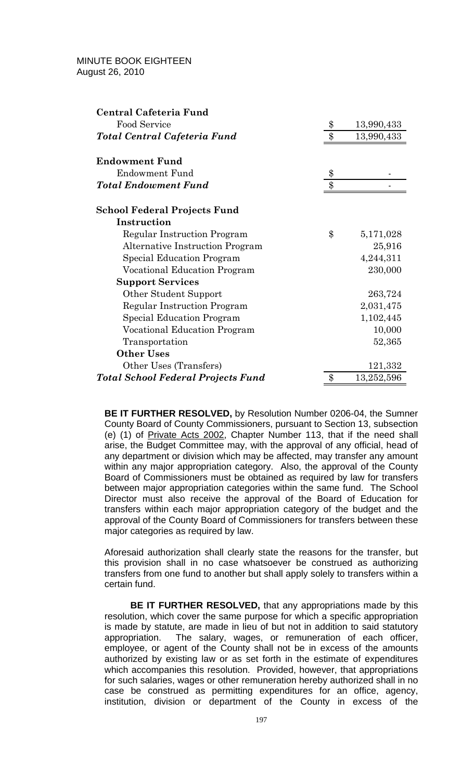| Central Cafeteria Fund                    |                  |
|-------------------------------------------|------------------|
| Food Service                              | \$<br>13,990,433 |
| Total Central Cafeteria Fund              | \$<br>13,990,433 |
| <b>Endowment Fund</b>                     |                  |
| <b>Endowment Fund</b>                     | \$               |
| <b>Total Endowment Fund</b>               | \$               |
| <b>School Federal Projects Fund</b>       |                  |
| Instruction                               |                  |
| Regular Instruction Program               | \$<br>5,171,028  |
| Alternative Instruction Program           | 25,916           |
| Special Education Program                 | 4,244,311        |
| Vocational Education Program              | 230,000          |
| <b>Support Services</b>                   |                  |
| Other Student Support                     | 263,724          |
| Regular Instruction Program               | 2,031,475        |
| Special Education Program                 | 1,102,445        |
| Vocational Education Program              | 10,000           |
| Transportation                            | 52,365           |
| <b>Other Uses</b>                         |                  |
| Other Uses (Transfers)                    | 121,332          |
| <b>Total School Federal Projects Fund</b> | \$<br>13,252,596 |

**BE IT FURTHER RESOLVED,** by Resolution Number 0206-04, the Sumner County Board of County Commissioners, pursuant to Section 13, subsection (e) (1) of Private Acts 2002, Chapter Number 113, that if the need shall arise, the Budget Committee may, with the approval of any official, head of any department or division which may be affected, may transfer any amount within any major appropriation category. Also, the approval of the County Board of Commissioners must be obtained as required by law for transfers between major appropriation categories within the same fund. The School Director must also receive the approval of the Board of Education for transfers within each major appropriation category of the budget and the approval of the County Board of Commissioners for transfers between these major categories as required by law.

Aforesaid authorization shall clearly state the reasons for the transfer, but this provision shall in no case whatsoever be construed as authorizing transfers from one fund to another but shall apply solely to transfers within a certain fund.

 **BE IT FURTHER RESOLVED,** that any appropriations made by this resolution, which cover the same purpose for which a specific appropriation is made by statute, are made in lieu of but not in addition to said statutory appropriation. The salary, wages, or remuneration of each officer, employee, or agent of the County shall not be in excess of the amounts authorized by existing law or as set forth in the estimate of expenditures which accompanies this resolution. Provided, however, that appropriations for such salaries, wages or other remuneration hereby authorized shall in no case be construed as permitting expenditures for an office, agency, institution, division or department of the County in excess of the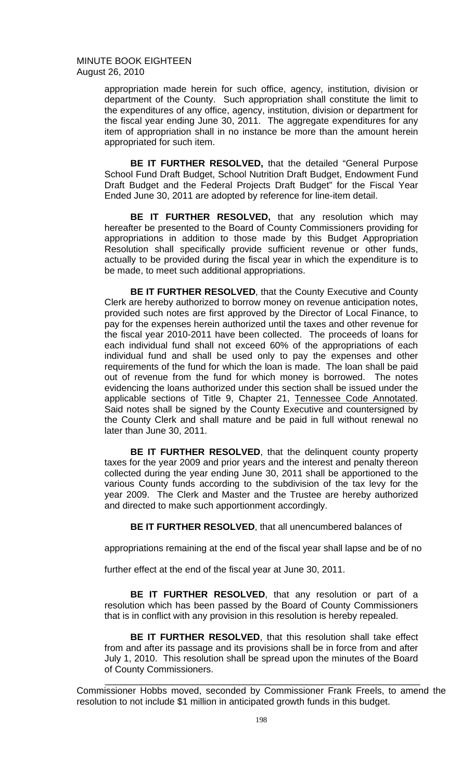> appropriation made herein for such office, agency, institution, division or department of the County. Such appropriation shall constitute the limit to the expenditures of any office, agency, institution, division or department for the fiscal year ending June 30, 2011. The aggregate expenditures for any item of appropriation shall in no instance be more than the amount herein appropriated for such item.

> **BE IT FURTHER RESOLVED,** that the detailed "General Purpose School Fund Draft Budget, School Nutrition Draft Budget, Endowment Fund Draft Budget and the Federal Projects Draft Budget" for the Fiscal Year Ended June 30, 2011 are adopted by reference for line-item detail.

> **BE IT FURTHER RESOLVED,** that any resolution which may hereafter be presented to the Board of County Commissioners providing for appropriations in addition to those made by this Budget Appropriation Resolution shall specifically provide sufficient revenue or other funds, actually to be provided during the fiscal year in which the expenditure is to be made, to meet such additional appropriations.

> **BE IT FURTHER RESOLVED, that the County Executive and County** Clerk are hereby authorized to borrow money on revenue anticipation notes, provided such notes are first approved by the Director of Local Finance, to pay for the expenses herein authorized until the taxes and other revenue for the fiscal year 2010-2011 have been collected. The proceeds of loans for each individual fund shall not exceed 60% of the appropriations of each individual fund and shall be used only to pay the expenses and other requirements of the fund for which the loan is made. The loan shall be paid out of revenue from the fund for which money is borrowed. The notes evidencing the loans authorized under this section shall be issued under the applicable sections of Title 9, Chapter 21, Tennessee Code Annotated. Said notes shall be signed by the County Executive and countersigned by the County Clerk and shall mature and be paid in full without renewal no later than June 30, 2011.

> **BE IT FURTHER RESOLVED**, that the delinquent county property taxes for the year 2009 and prior years and the interest and penalty thereon collected during the year ending June 30, 2011 shall be apportioned to the various County funds according to the subdivision of the tax levy for the year 2009. The Clerk and Master and the Trustee are hereby authorized and directed to make such apportionment accordingly.

 **BE IT FURTHER RESOLVED**, that all unencumbered balances of

appropriations remaining at the end of the fiscal year shall lapse and be of no

further effect at the end of the fiscal year at June 30, 2011.

 **BE IT FURTHER RESOLVED**, that any resolution or part of a resolution which has been passed by the Board of County Commissioners that is in conflict with any provision in this resolution is hereby repealed.

 **BE IT FURTHER RESOLVED**, that this resolution shall take effect from and after its passage and its provisions shall be in force from and after July 1, 2010. This resolution shall be spread upon the minutes of the Board of County Commissioners.

Commissioner Hobbs moved, seconded by Commissioner Frank Freels, to amend the resolution to not include \$1 million in anticipated growth funds in this budget.

 $\frac{1}{2}$  ,  $\frac{1}{2}$  ,  $\frac{1}{2}$  ,  $\frac{1}{2}$  ,  $\frac{1}{2}$  ,  $\frac{1}{2}$  ,  $\frac{1}{2}$  ,  $\frac{1}{2}$  ,  $\frac{1}{2}$  ,  $\frac{1}{2}$  ,  $\frac{1}{2}$  ,  $\frac{1}{2}$  ,  $\frac{1}{2}$  ,  $\frac{1}{2}$  ,  $\frac{1}{2}$  ,  $\frac{1}{2}$  ,  $\frac{1}{2}$  ,  $\frac{1}{2}$  ,  $\frac{1$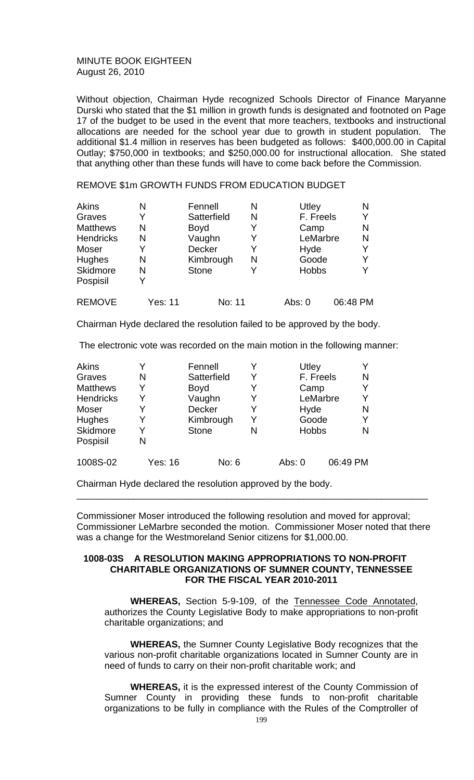Without objection, Chairman Hyde recognized Schools Director of Finance Maryanne Durski who stated that the \$1 million in growth funds is designated and footnoted on Page 17 of the budget to be used in the event that more teachers, textbooks and instructional allocations are needed for the school year due to growth in student population. The additional \$1.4 million in reserves has been budgeted as follows: \$400,000.00 in Capital Outlay; \$750,000 in textbooks; and \$250,000.00 for instructional allocation. She stated that anything other than these funds will have to come back before the Commission.

#### REMOVE \$1m GROWTH FUNDS FROM EDUCATION BUDGET

| Akins            | N       | Fennell       | N | Utley        | N        |
|------------------|---------|---------------|---|--------------|----------|
| Graves           | Y       | Satterfield   | N | F. Freels    | Y        |
| <b>Matthews</b>  | N       | Boyd          | Y | Camp         | N        |
| <b>Hendricks</b> | N       | Vaughn        | Y | LeMarbre     | N        |
| Moser            | Y       | <b>Decker</b> | Y | Hyde         | Y        |
| <b>Hughes</b>    | N       | Kimbrough     | N | Goode        | Y        |
| Skidmore         | N       | <b>Stone</b>  | Y | <b>Hobbs</b> | Y        |
| Pospisil         | v       |               |   |              |          |
| <b>REMOVE</b>    | Yes: 11 | No: 11        |   | Abs: 0       | 06:48 PM |

Chairman Hyde declared the resolution failed to be approved by the body.

The electronic vote was recorded on the main motion in the following manner:

| <b>Akins</b>     |         | Fennell      |   | Utley        |           |          |
|------------------|---------|--------------|---|--------------|-----------|----------|
| Graves           | N       | Satterfield  | Y |              | F. Freels | N        |
| <b>Matthews</b>  | Y       | <b>Boyd</b>  |   | Camp         |           |          |
| <b>Hendricks</b> | Y       | Vaughn       | Y |              | LeMarbre  | v        |
| Moser            |         | Decker       |   | Hyde         |           | N        |
| <b>Hughes</b>    | v       | Kimbrough    | Y | Goode        |           | v        |
| Skidmore         | Y       | <b>Stone</b> |   | <b>Hobbs</b> |           | N        |
| Pospisil         | N       |              |   |              |           |          |
| 1008S-02         | Yes: 16 | No: 6        |   | Abs: 0       |           | 06:49 PM |

Chairman Hyde declared the resolution approved by the body.

Commissioner Moser introduced the following resolution and moved for approval; Commissioner LeMarbre seconded the motion. Commissioner Moser noted that there was a change for the Westmoreland Senior citizens for \$1,000.00.

\_\_\_\_\_\_\_\_\_\_\_\_\_\_\_\_\_\_\_\_\_\_\_\_\_\_\_\_\_\_\_\_\_\_\_\_\_\_\_\_\_\_\_\_\_\_\_\_\_\_\_\_\_\_\_\_\_\_\_\_\_\_\_\_\_\_\_\_

#### **1008-03S A RESOLUTION MAKING APPROPRIATIONS TO NON-PROFIT CHARITABLE ORGANIZATIONS OF SUMNER COUNTY, TENNESSEE FOR THE FISCAL YEAR 2010-2011**

 **WHEREAS,** Section 5-9-109, of the Tennessee Code Annotated, authorizes the County Legislative Body to make appropriations to non-profit charitable organizations; and

 **WHEREAS,** the Sumner County Legislative Body recognizes that the various non-profit charitable organizations located in Sumner County are in need of funds to carry on their non-profit charitable work; and

 **WHEREAS,** it is the expressed interest of the County Commission of Sumner County in providing these funds to non-profit charitable organizations to be fully in compliance with the Rules of the Comptroller of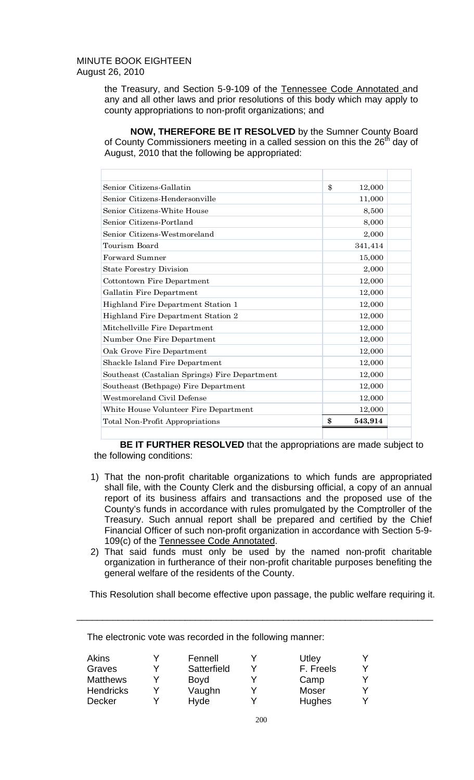the Treasury, and Section 5-9-109 of the Tennessee Code Annotated and any and all other laws and prior resolutions of this body which may apply to county appropriations to non-profit organizations; and

 **NOW, THEREFORE BE IT RESOLVED** by the Sumner County Board of County Commissioners meeting in a called session on this the  $26<sup>th</sup>$  day of August, 2010 that the following be appropriated:

| Senior Citizens-Gallatin                      | \$<br>12,000  |  |
|-----------------------------------------------|---------------|--|
| Senior Citizens-Hendersonville                | 11,000        |  |
| Senior Citizens-White House                   | 8,500         |  |
| Senior Citizens-Portland                      | 8,000         |  |
| Senior Citizens-Westmoreland                  | 2,000         |  |
| Tourism Board                                 | 341,414       |  |
| Forward Sumner                                | 15,000        |  |
| <b>State Forestry Division</b>                | 2,000         |  |
| Cottontown Fire Department                    | 12,000        |  |
| Gallatin Fire Department                      | 12,000        |  |
| Highland Fire Department Station 1            | 12,000        |  |
| Highland Fire Department Station 2            | 12,000        |  |
| Mitchellville Fire Department                 | 12,000        |  |
| Number One Fire Department                    | 12,000        |  |
| Oak Grove Fire Department                     | 12,000        |  |
| Shackle Island Fire Department                | 12,000        |  |
| Southeast (Castalian Springs) Fire Department | 12,000        |  |
| Southeast (Bethpage) Fire Department          | 12,000        |  |
| Westmoreland Civil Defense                    | 12,000        |  |
| White House Volunteer Fire Department         | 12,000        |  |
| Total Non-Profit Appropriations               | \$<br>543,914 |  |
|                                               |               |  |

**BE IT FURTHER RESOLVED** that the appropriations are made subject to the following conditions:

- 1) That the non-profit charitable organizations to which funds are appropriated shall file, with the County Clerk and the disbursing official, a copy of an annual report of its business affairs and transactions and the proposed use of the County's funds in accordance with rules promulgated by the Comptroller of the Treasury. Such annual report shall be prepared and certified by the Chief Financial Officer of such non-profit organization in accordance with Section 5-9- 109(c) of the Tennessee Code Annotated.
- 2) That said funds must only be used by the named non-profit charitable organization in furtherance of their non-profit charitable purposes benefiting the general welfare of the residents of the County.

This Resolution shall become effective upon passage, the public welfare requiring it.

\_\_\_\_\_\_\_\_\_\_\_\_\_\_\_\_\_\_\_\_\_\_\_\_\_\_\_\_\_\_\_\_\_\_\_\_\_\_\_\_\_\_\_\_\_\_\_\_\_\_\_\_\_\_\_\_\_\_\_\_\_\_\_\_\_\_\_\_\_

| Akins<br>Graves<br><b>Matthews</b><br><b>Hendricks</b> | Fennell<br>Satterfield<br>Boyd<br>Vaughn | Utley<br>F. Freels<br>Camp<br><b>Moser</b> | v |
|--------------------------------------------------------|------------------------------------------|--------------------------------------------|---|
| <b>Decker</b>                                          | Hyde                                     | <b>Hughes</b>                              |   |

The electronic vote was recorded in the following manner: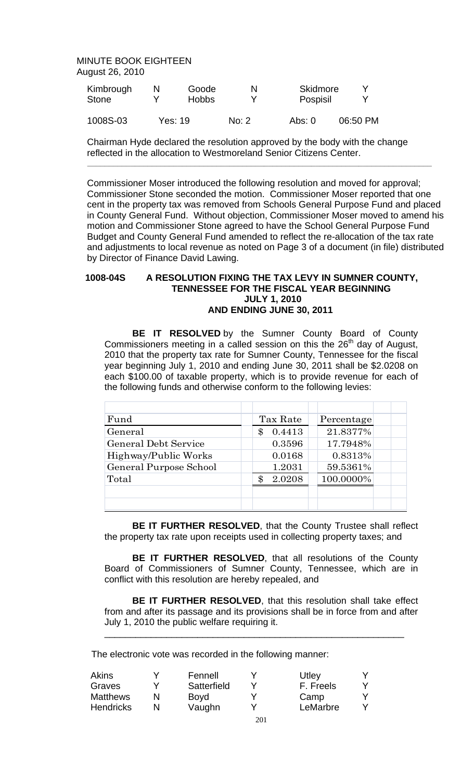| Kimbrough<br>Stone | Goode<br><b>Hobbs</b> | N     | Skidmore<br>Pospisil | v        |
|--------------------|-----------------------|-------|----------------------|----------|
| 1008S-03           | <b>Yes: 19</b>        | No: 2 | Abs: $0$             | 06:50 PM |

Chairman Hyde declared the resolution approved by the body with the change reflected in the allocation to Westmoreland Senior Citizens Center.

 **\_\_\_\_\_\_\_\_\_\_\_\_\_\_\_\_\_\_\_\_\_\_\_\_\_\_\_\_\_\_\_\_\_\_\_\_\_\_\_\_\_\_\_\_\_\_\_\_\_\_\_\_\_\_\_\_\_\_\_\_\_\_\_\_\_\_\_\_\_\_\_\_\_\_\_\_\_\_\_\_** 

Commissioner Moser introduced the following resolution and moved for approval; Commissioner Stone seconded the motion. Commissioner Moser reported that one cent in the property tax was removed from Schools General Purpose Fund and placed in County General Fund. Without objection, Commissioner Moser moved to amend his motion and Commissioner Stone agreed to have the School General Purpose Fund Budget and County General Fund amended to reflect the re-allocation of the tax rate and adjustments to local revenue as noted on Page 3 of a document (in file) distributed by Director of Finance David Lawing.

## **1008-04S A RESOLUTION FIXING THE TAX LEVY IN SUMNER COUNTY, TENNESSEE FOR THE FISCAL YEAR BEGINNING JULY 1, 2010 AND ENDING JUNE 30, 2011**

 **BE IT RESOLVED** by the Sumner County Board of County Commissioners meeting in a called session on this the 26<sup>th</sup> day of August, 2010 that the property tax rate for Sumner County, Tennessee for the fiscal year beginning July 1, 2010 and ending June 30, 2011 shall be \$2.0208 on each \$100.00 of taxable property, which is to provide revenue for each of the following funds and otherwise conform to the following levies:

| Fund                        | Tax Rate     | Percentage |
|-----------------------------|--------------|------------|
| General                     | 0.4413<br>\$ | 21.8377%   |
| <b>General Debt Service</b> | 0.3596       | 17.7948%   |
| Highway/Public Works        | 0.0168       | 0.8313%    |
| General Purpose School      | 1.2031       | 59.5361%   |
| Total                       | 2.0208<br>\$ | 100.0000%  |
|                             |              |            |
|                             |              |            |

**BE IT FURTHER RESOLVED**, that the County Trustee shall reflect the property tax rate upon receipts used in collecting property taxes; and

**BE IT FURTHER RESOLVED**, that all resolutions of the County Board of Commissioners of Sumner County, Tennessee, which are in conflict with this resolution are hereby repealed, and

**BE IT FURTHER RESOLVED**, that this resolution shall take effect from and after its passage and its provisions shall be in force from and after July 1, 2010 the public welfare requiring it.

\_\_\_\_\_\_\_\_\_\_\_\_\_\_\_\_\_\_\_\_\_\_\_\_\_\_\_\_\_\_\_\_\_\_\_\_\_\_\_\_\_\_\_\_\_\_\_\_\_\_\_\_\_\_\_\_\_\_

The electronic vote was recorded in the following manner:

| Akins            | Fennell     |     | Utley     |  |
|------------------|-------------|-----|-----------|--|
| Graves           | Satterfield |     | F. Freels |  |
| <b>Matthews</b>  | Boyd        |     | Camp      |  |
| <b>Hendricks</b> | Vaughn      |     | LeMarbre  |  |
|                  |             | 201 |           |  |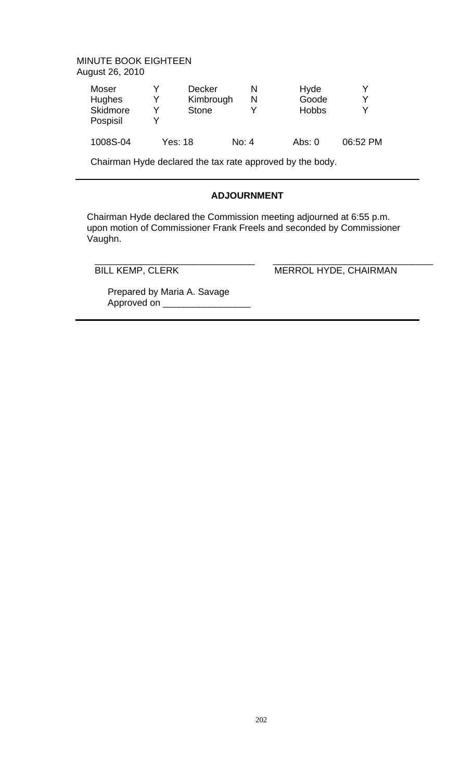| Moser<br>Hughes<br>Skidmore<br>Pospisil |         | <b>Decker</b><br>Kimbrough<br><b>Stone</b> |       | N | Hyde<br>Goode<br><b>Hobbs</b> | v<br>v<br>v |
|-----------------------------------------|---------|--------------------------------------------|-------|---|-------------------------------|-------------|
| 1008S-04                                | Yes: 18 |                                            | No: 4 |   | Abs: $0$                      | 06:52 PM    |

Chairman Hyde declared the tax rate approved by the body.

# **ADJOURNMENT**

 Chairman Hyde declared the Commission meeting adjourned at 6:55 p.m. upon motion of Commissioner Frank Freels and seconded by Commissioner Vaughn.

 $\overline{\phantom{a}}$  ,  $\overline{\phantom{a}}$  ,  $\overline{\phantom{a}}$  ,  $\overline{\phantom{a}}$  ,  $\overline{\phantom{a}}$  ,  $\overline{\phantom{a}}$  ,  $\overline{\phantom{a}}$  ,  $\overline{\phantom{a}}$  ,  $\overline{\phantom{a}}$  ,  $\overline{\phantom{a}}$  ,  $\overline{\phantom{a}}$  ,  $\overline{\phantom{a}}$  ,  $\overline{\phantom{a}}$  ,  $\overline{\phantom{a}}$  ,  $\overline{\phantom{a}}$  ,  $\overline{\phantom{a}}$ BILL KEMP, CLERK MERROL HYDE, CHAIRMAN

 Prepared by Maria A. Savage Approved on \_\_\_\_\_\_\_\_\_\_\_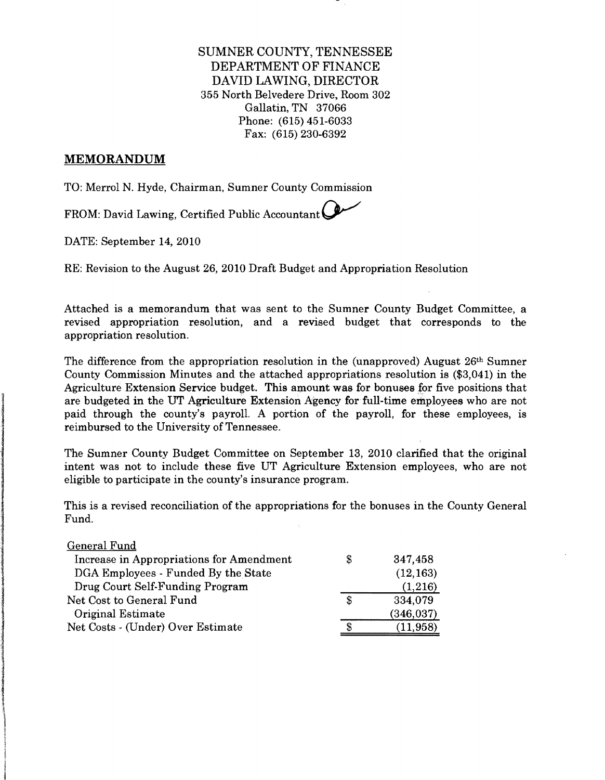SUMNER COUNTY, TENNESSEE DEPARTMENT OF FINANCE DAVID LAWING, DIRECTOR 355 North Belvedere Drive, Room 302 Gallatin, TN 37066 Phone: (615) 451-6033 Fax: (615) 230-6392

#### **MEMORANDUM**

ianalis ei sistema eti till status och sistem.<br>I status

andro en la componenta de la componenta de la componenta de la componenta de la componenta de la componenta de<br>Internacional

lintzia della Regional della Regiona della Regional della Regional della Regional della Regional della Regiona<br>Territoria

I

1<br>1<br>1<br>1<br>1<br>1<br>1<br>1<br>1<br>1<br>1<br>1<br>1<br>1<br>1<br>1<br>1<br>1<br><br><br><br>

the contract of ing dia ialah ini dia ini.<br>I TO: Merrol N. Hyde, Chairman, Sumner County Commission

FROM: David Lawing, Certified Public Accountant

DATE: September 14, 2010

RE: Revision to the August 26,2010 Draft Budget and Appropriation Resolution

Attached is a memorandum that was sent to the Sumner County Budget Committee, a revised appropriation resolution, and a revised budget that corresponds to the appropriation resolution.

The difference from the appropriation resolution in the (unapproved) August 26<sup>th</sup> Sumner County Commission Minutes and the attached appropriations resolution is (\$3,041) in the Agriculture Extension Service budget. This amount was for bonuses for five positions that are budgeted in the UT Agriculture Extension Agency for full-time employees who are not paid through the county's payroll. A portion of the payroll, for these employees, is reimbursed to the University of Tennessee.

The Sumner County Budget Committee on September 13, 2010 clarified that the original intent was not to include these five UT Agriculture Extension employees, who are not eligible to participate in the county's insurance program.

This is a revised reconciliation of the appropriations for the bonuses in the County General Fund.

| General Fund                             |   |            |
|------------------------------------------|---|------------|
| Increase in Appropriations for Amendment | S | 347,458    |
| DGA Employees - Funded By the State      |   | (12, 163)  |
| Drug Court Self-Funding Program          |   | (1,216)    |
| Net Cost to General Fund                 | S | 334,079    |
| Original Estimate                        |   | (346, 037) |
| Net Costs - (Under) Over Estimate        |   | (11, 958)  |
|                                          |   |            |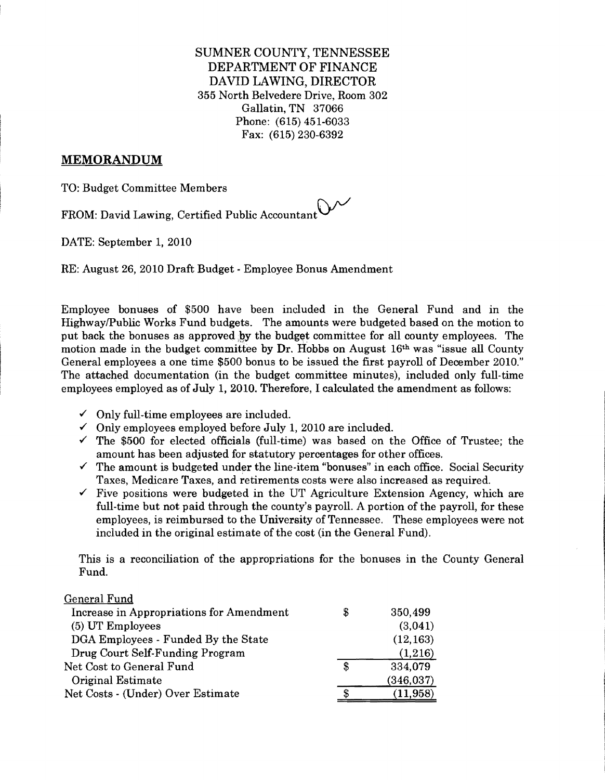SUMNER COUNTY, TENNESSEE DEPARTMENT OF FINANCE DAVID LAWING, DIRECTOR 355 North Belvedere Drive, Room 302 Gallatin, TN 37066 Phone: (615) 451-6033 Fax: (615) 230-6392

#### **MEMORANDUM**

TO: Budget Committee Members

FROM: David Lawing, Certified Public Accountant $\bigcirc$ 

DATE: September 1, 2010

RE: August 26,2010 Draft Budget· Employee Bonus Amendment

Employee bonuses of \$500 have been included in the General Fund and in the HighwaylPublic Works Fund budgets. The amounts were budgeted based on the motion to put back the bonuses as approved by the budget committee for all county employees. The motion made in the budget committee by Dr. Hobbs on August 16th was "issue all County General employees a one time \$500 bonus to be issued the first payroll of December 2010." The attached documentation (in the budget committee minutes), included only full·time employees employed as of July 1, 2010. Therefore, I calculated the amendment as follows:

- $\checkmark$  Only full-time employees are included.
- $\checkmark$  Only employees employed before July 1, 2010 are included.
- $\checkmark$  The \$500 for elected officials (full-time) was based on the Office of Trustee; the amount has been adjusted for statutory percentages for other offices.
- $\checkmark$  The amount is budgeted under the line-item "bonuses" in each office. Social Security Taxes, Medicare Taxes, and retirements costs were also increased as required.
- $\checkmark$  Five positions were budgeted in the UT Agriculture Extension Agency, which are full-time but not paid through the county's payroll. A portion of the payroll, for these employees, is reimbursed to the University of Tennessee. These employees were not included in the original estimate of the cost (in the General Fund).

This is a reconciliation of the appropriations for the bonuses in the County General Fund.

| General Fund                             |    |            |
|------------------------------------------|----|------------|
| Increase in Appropriations for Amendment | 3  | 350,499    |
| (5) UT Employees                         |    | (3,041)    |
| DGA Employees - Funded By the State      |    | (12, 163)  |
| Drug Court Self-Funding Program          |    | (1,216)    |
| Net Cost to General Fund                 | \$ | 334,079    |
| Original Estimate                        |    | (346, 037) |
| Net Costs - (Under) Over Estimate        |    | (11, 958)  |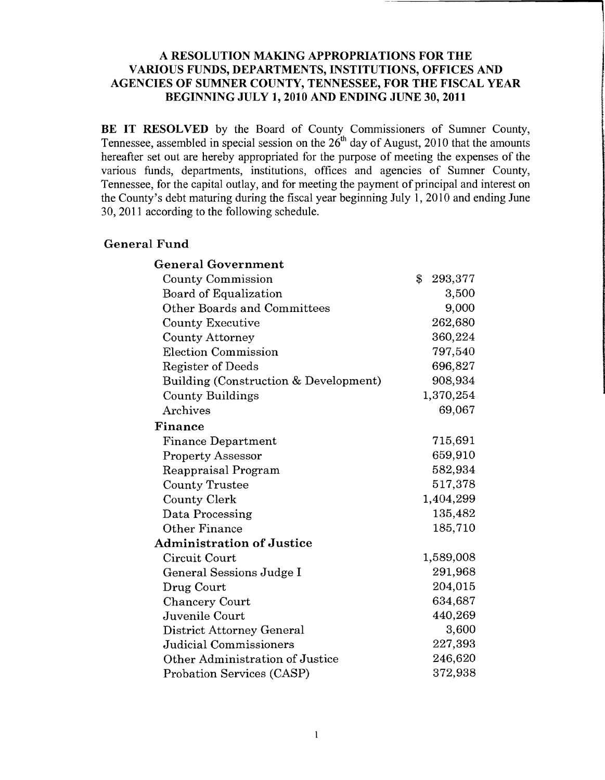#### **A RESOLUTION MAKING APPROPRIATIONS FOR THE VARIOUS FUNDS, DEPARTMENTS, INSTITUTIONS, OFFICES AND AGENCIES OF SUMNER COUNTY, TENNESSEE, FOR THE FISCAL YEAR BEGINNING JULY 1, 2010 AND ENDING JUNE 30,2011**

**BE IT RESOLVED** by the Board of County Commissioners of Sumner County, Tennessee, assembled in special session on the  $26<sup>th</sup>$  day of August, 2010 that the amounts hereafter set out are hereby appropriated for the purpose of meeting the expenses of the various funds, departments, institutions, offices and agencies of Sumner County, Tennessee, for the capital outlay, and for meeting the payment of principal and interest on the County's debt maturing during the fiscal year beginning July 1,2010 and ending June 30,2011 according to the following schedule.

#### **General Fund**

| <b>General Government</b>             |                                      |
|---------------------------------------|--------------------------------------|
| <b>County Commission</b>              | $\boldsymbol{\mathsf{S}}$<br>293,377 |
| Board of Equalization                 | 3,500                                |
| <b>Other Boards and Committees</b>    | 9,000                                |
| <b>County Executive</b>               | 262,680                              |
| <b>County Attorney</b>                | 360,224                              |
| <b>Election Commission</b>            | 797,540                              |
| Register of Deeds                     | 696,827                              |
| Building (Construction & Development) | 908,934                              |
| <b>County Buildings</b>               | 1,370,254                            |
| Archives                              | 69,067                               |
| Finance                               |                                      |
| <b>Finance Department</b>             | 715,691                              |
| <b>Property Assessor</b>              | 659,910                              |
| Reappraisal Program                   | 582,934                              |
| <b>County Trustee</b>                 | 517,378                              |
| <b>County Clerk</b>                   | 1,404,299                            |
| Data Processing                       | 135,482                              |
| Other Finance                         | 185,710                              |
| <b>Administration of Justice</b>      |                                      |
| Circuit Court                         | 1,589,008                            |
| General Sessions Judge I              | 291,968                              |
| Drug Court                            | 204,015                              |
| <b>Chancery Court</b>                 | 634,687                              |
| Juvenile Court                        | 440,269                              |
| District Attorney General             | 3,600                                |
| <b>Judicial Commissioners</b>         | 227,393                              |
| Other Administration of Justice       | 246,620                              |
| Probation Services (CASP)             | 372,938                              |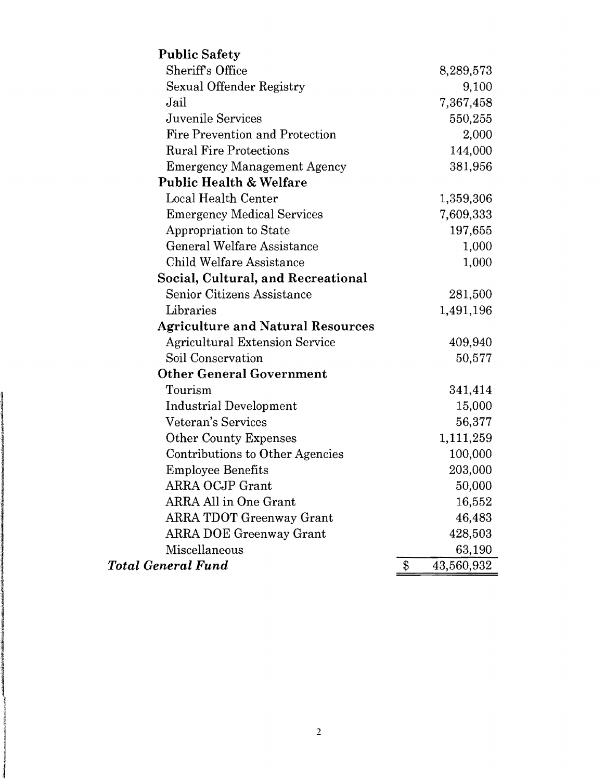| <b>Public Safety</b>                     |                  |
|------------------------------------------|------------------|
| <b>Sheriff's Office</b>                  | 8,289,573        |
| Sexual Offender Registry                 | 9,100            |
| Jail                                     | 7,367,458        |
| Juvenile Services                        | 550,255          |
| Fire Prevention and Protection           | 2,000            |
| <b>Rural Fire Protections</b>            | 144,000          |
| <b>Emergency Management Agency</b>       | 381,956          |
| <b>Public Health &amp; Welfare</b>       |                  |
| <b>Local Health Center</b>               | 1,359,306        |
| <b>Emergency Medical Services</b>        | 7,609,333        |
| Appropriation to State                   | 197,655          |
| General Welfare Assistance               | 1,000            |
| <b>Child Welfare Assistance</b>          | 1,000            |
| Social, Cultural, and Recreational       |                  |
| Senior Citizens Assistance               | 281,500          |
| Libraries                                | 1,491,196        |
| <b>Agriculture and Natural Resources</b> |                  |
| <b>Agricultural Extension Service</b>    | 409,940          |
| Soil Conservation                        | 50,577           |
| <b>Other General Government</b>          |                  |
| Tourism                                  | 341,414          |
| Industrial Development                   | 15,000           |
| Veteran's Services                       | 56,377           |
| <b>Other County Expenses</b>             | 1,111,259        |
| Contributions to Other Agencies          | 100,000          |
| <b>Employee Benefits</b>                 | 203,000          |
| ARRA OCJP Grant                          | 50,000           |
| ARRA All in One Grant                    | 16,552           |
| <b>ARRA TDOT Greenway Grant</b>          | 46,483           |
| <b>ARRA DOE Greenway Grant</b>           | 428,503          |
| Miscellaneous                            | 63,190           |
| <b>Total General Fund</b>                | \$<br>43,560,932 |

ir Madalaharan (j. 1930)<br>1930 - Johann Brown, mason (j. 1930)<br>1930 - Paris Brown, mason (j. 1930)

Í

|<br>|<br>|

in anno ann an India.<br>Iomraidhean I

!

jerinana<br>Jerika Barat dan Santa Barat dan Santa Barat dan Santa Barat dan Santa Barat dan Santa Barat dan Barat dan Ba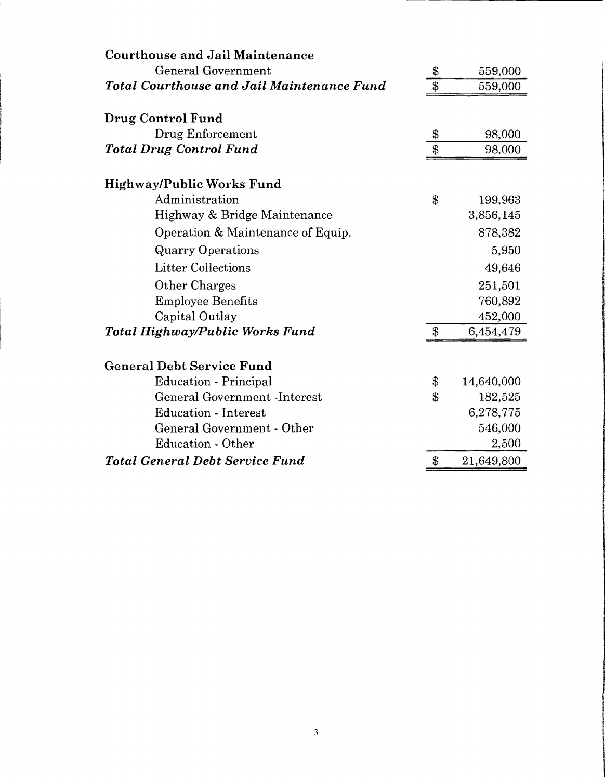| <b>Courthouse and Jail Maintenance</b>            |                   |            |
|---------------------------------------------------|-------------------|------------|
| <b>General Government</b>                         | \$                | 559,000    |
| <b>Total Courthouse and Jail Maintenance Fund</b> | \$                | 559,000    |
| Drug Control Fund                                 |                   |            |
| Drug Enforcement                                  | \$                | 98,000     |
| <b>Total Drug Control Fund</b>                    | $\boldsymbol{\$}$ | 98,000     |
| <b>Highway/Public Works Fund</b>                  |                   |            |
| Administration                                    | $\mathbf S$       | 199,963    |
| Highway & Bridge Maintenance                      |                   | 3,856,145  |
| Operation & Maintenance of Equip.                 |                   | 878,382    |
| <b>Quarry Operations</b>                          |                   | 5,950      |
| <b>Litter Collections</b>                         |                   | 49,646     |
| Other Charges                                     |                   | 251,501    |
| <b>Employee Benefits</b>                          |                   | 760,892    |
| Capital Outlay                                    |                   | 452,000    |
| Total Highway/Public Works Fund                   | $\mathbb{S}$      | 6,454,479  |
| <b>General Debt Service Fund</b>                  |                   |            |
| Education - Principal                             | \$                | 14,640,000 |
| <b>General Government -Interest</b>               | \$                | 182,525    |
| <b>Education - Interest</b>                       |                   | 6,278,775  |
| General Government - Other                        |                   | 546,000    |
| <b>Education - Other</b>                          |                   | 2,500      |
| <b>Total General Debt Service Fund</b>            | $\mathbf{\$\}$    | 21,649,800 |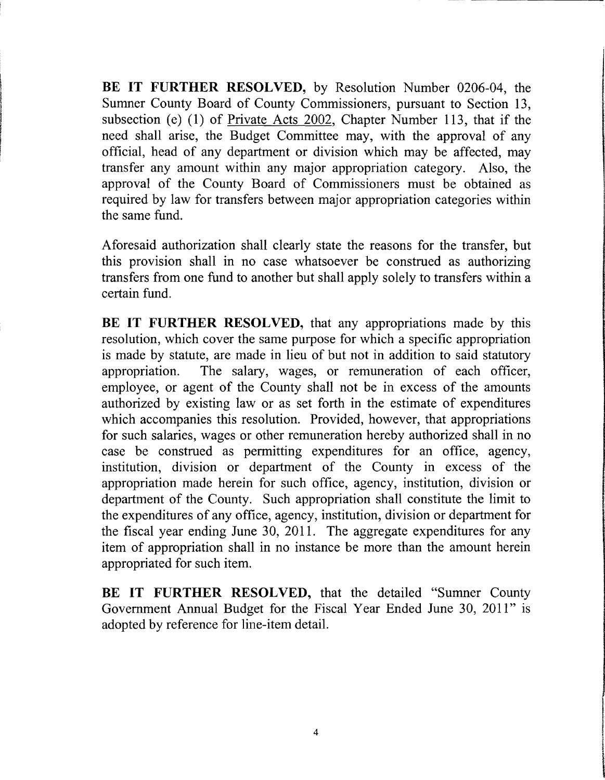**BE IT FURTHER RESOLVED,** by Resolution Number 0206-04, the Sumner County Board of County Commissioners, pursuant to Section 13, subsection (e) (1) of Private Acts 2002, Chapter Number 113, that if the need shall arise, the Budget Committee may, with the approval of any official, head of any department or division which may be affected, may transfer any amount within any major appropriation category. Also, the approval of the County Board of Commissioners must be obtained as required by law for transfers between major appropriation categories within the same fund.

Aforesaid authorization shall clearly state the reasons for the transfer, but this provision shall in no case whatsoever be construed as authorizing transfers from one fund to another but shall apply solely to transfers within a certain fund.

**BE IT FURTHER RESOLVED,** that any appropriations made by this resolution, which cover the same purpose for which a specific appropriation is made by statute, are made in lieu of but not in addition to said statutory appropriation. The salary, wages, or remuneration of each officer, employee, or agent of the County shall not be in excess of the amounts authorized by existing law or as set forth in the estimate of expenditures which accompanies this resolution. Provided, however, that appropriations for such salaries, wages or other remuneration hereby authorized shall in no case be construed as permitting expenditures for an office, agency, institution, division or department of the County in excess of the appropriation made herein for such office, agency, institution, division or department of the County. Such appropriation shall constitute the limit to the expenditures of any office, agency, institution, division or department for the fiscal year ending June 30, 2011. The aggregate expenditures for any item of appropriation shall in no instance be more than the amount herein appropriated for such item.

**BE IT FURTHER RESOLVED,** that the detailed "Sumner County Government Annual Budget for the Fiscal Year Ended June 30, 2011" is adopted by reference for line-item detail.

f

 $\overline{\phantom{a}}$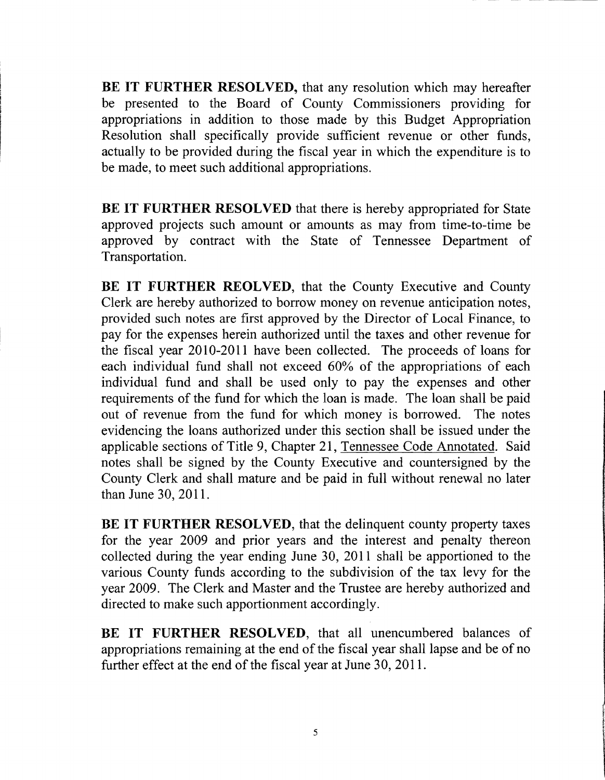**BE IT FURTHER RESOLVED,** that any resolution which may hereafter be presented to the Board of County Commissioners providing for appropriations in addition to those made by this Budget Appropriation Resolution shall specifically provide sufficient revenue or other funds, actually to be provided during the fiscal year in which the expenditure is to be made, to meet such additional appropriations.

**BE IT FURTHER RESOLVED** that there is hereby appropriated for State approved projects such amount or amounts as may from time-to-time be approved by contract with the State of Tennessee Department of Transportation.

**BE IT FURTHER REOLVED, that the County Executive and County** Clerk are hereby authorized to borrow money on revenue anticipation notes, provided such notes are first approved by the Director of Local Finance, to pay for the expenses herein authorized until the taxes and other revenue for the fiscal year 2010-2011 have been collected. The proceeds of loans for each individual fund shall not exceed 60% of the appropriations of each individual fund and shall be used only to pay the expenses and other requirements of the fund for which the loan is made. The loan shall be paid out of revenue from the fund for which money is borrowed. The notes evidencing the loans authorized under this section shall be issued under the applicable sections of Title 9, Chapter 21, Tennessee Code Annotated. Said notes shall be signed by the County Executive and countersigned by the County Clerk and shall mature and be paid in full without renewal no later than June 30,2011.

**BE IT FURTHER RESOLVED,** that the delinquent county property taxes for the year 2009 and prior years and the interest and penalty thereon collected during the year ending June 30, 2011 shall be apportioned to the various County funds according to the subdivision of the tax levy for the year 2009. The Clerk and Master and the Trustee are hereby authorized and directed to make such apportionment accordingly.

**BE IT FURTHER RESOLVED,** that all unencumbered balances of appropriations remaining at the end of the fiscal year shall lapse and be of no further effect at the end of the fiscal year at June 30, 2011.